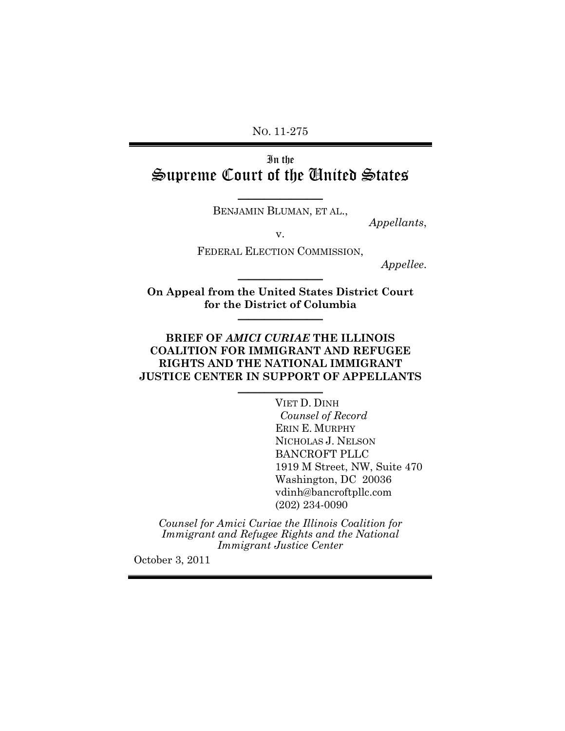NO. 11-275

# In the Supreme Court of the United States

 $\overline{\phantom{a}}$  , where  $\overline{\phantom{a}}$ BENJAMIN BLUMAN, ET AL.,

*Appellants*,

v.

FEDERAL ELECTION COMMISSION,

*Appellee*. \_\_\_\_\_\_\_\_\_\_\_\_\_\_\_\_

**On Appeal from the United States District Court for the District of Columbia** \_\_\_\_\_\_\_\_\_\_\_\_\_\_\_\_

### **BRIEF OF** *AMICI CURIAE* **THE ILLINOIS COALITION FOR IMMIGRANT AND REFUGEE RIGHTS AND THE NATIONAL IMMIGRANT JUSTICE CENTER IN SUPPORT OF APPELLANTS**

 $\frac{1}{2}$ 

VIET D. DINH *Counsel of Record* ERIN E. MURPHY NICHOLAS J. NELSON BANCROFT PLLC 1919 M Street, NW, Suite 470 Washington, DC 20036 vdinh@bancroftpllc.com (202) 234-0090

*Counsel for Amici Curiae the Illinois Coalition for Immigrant and Refugee Rights and the National Immigrant Justice Center*

October 3, 2011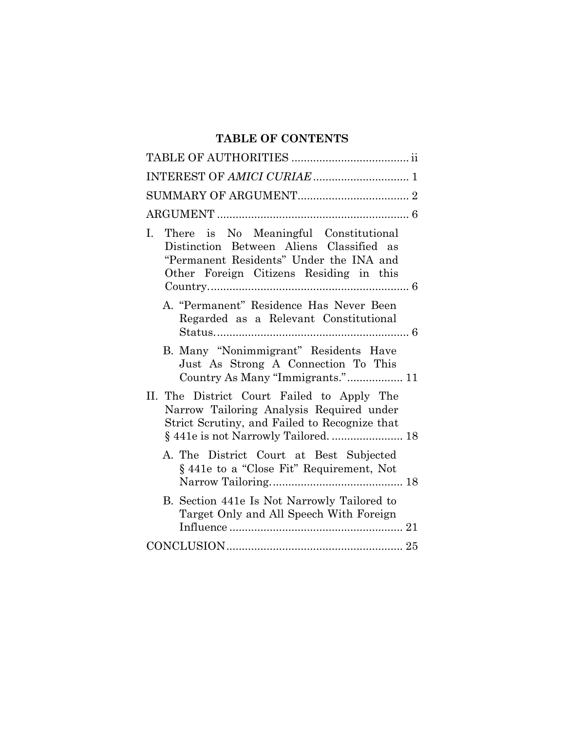## **TABLE OF CONTENTS**

| There is No Meaningful Constitutional<br>L.<br>Distinction Between Aliens Classified as<br>"Permanent Residents" Under the INA and<br>Other Foreign Citizens Residing in this   |
|---------------------------------------------------------------------------------------------------------------------------------------------------------------------------------|
| A. "Permanent" Residence Has Never Been<br>Regarded as a Relevant Constitutional                                                                                                |
| B. Many "Nonimmigrant" Residents Have<br>Just As Strong A Connection To This<br>Country As Many "Immigrants." 11                                                                |
| II. The District Court Failed to Apply The<br>Narrow Tailoring Analysis Required under<br>Strict Scrutiny, and Failed to Recognize that<br>§ 441e is not Narrowly Tailored.  18 |
| A. The District Court at Best Subjected<br>§ 441e to a "Close Fit" Requirement, Not                                                                                             |
| B. Section 441e Is Not Narrowly Tailored to<br>Target Only and All Speech With Foreign                                                                                          |
|                                                                                                                                                                                 |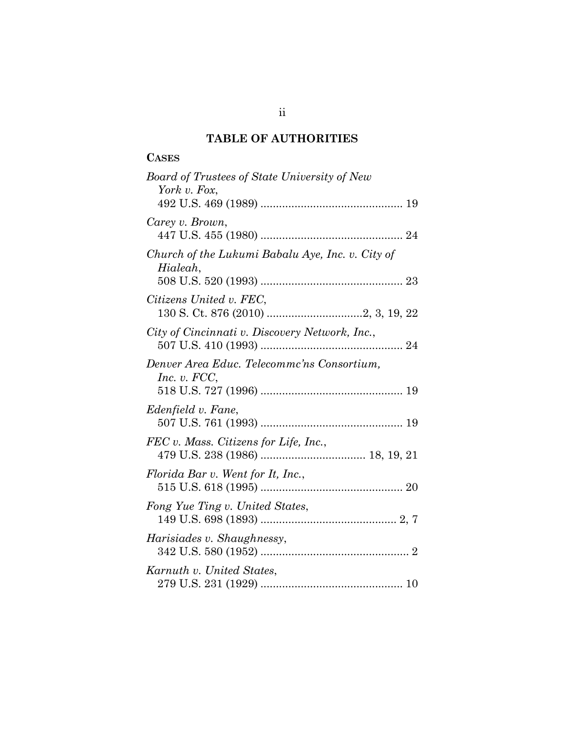# **TABLE OF AUTHORITIES**

## **CASES**

| <b>Board of Trustees of State University of New</b><br>York v. Fox, |
|---------------------------------------------------------------------|
|                                                                     |
| Carey v. Brown,                                                     |
| Church of the Lukumi Babalu Aye, Inc. v. City of<br>Hialeah,        |
| Citizens United v. FEC,                                             |
|                                                                     |
| City of Cincinnati v. Discovery Network, Inc.,                      |
| Denver Area Educ. Telecommc'ns Consortium,<br>Inc. v. $FCC$ ,       |
| Edenfield v. Fane,                                                  |
| FEC v. Mass. Citizens for Life, Inc.,                               |
| Florida Bar v. Went for It, Inc.,                                   |
| Fong Yue Ting v. United States,                                     |
| Harisiades v. Shaughnessy,                                          |
| Karnuth v. United States,                                           |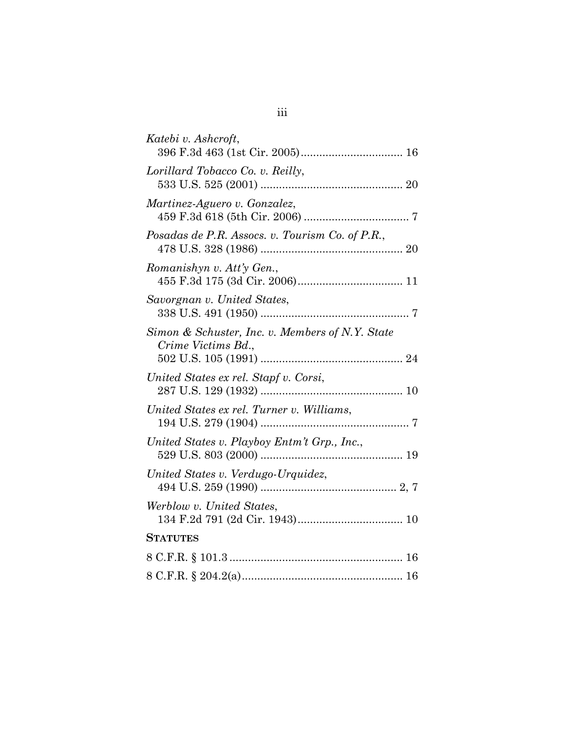| Katebi v. Ashcroft,                                                   |
|-----------------------------------------------------------------------|
| Lorillard Tobacco Co. v. Reilly,                                      |
| Martinez-Aguero v. Gonzalez,                                          |
| Posadas de P.R. Assocs. v. Tourism Co. of P.R.,                       |
| Romanishyn v. Att'y Gen.,                                             |
| Savorgnan v. United States,                                           |
| Simon & Schuster, Inc. v. Members of N.Y. State<br>Crime Victims Bd., |
| United States ex rel. Stapf v. Corsi,                                 |
| United States ex rel. Turner v. Williams,                             |
| United States v. Playboy Entm't Grp., Inc.,                           |
| United States v. Verdugo-Urquidez,                                    |
| Werblow v. United States,                                             |
| <b>STATUTES</b>                                                       |
|                                                                       |
|                                                                       |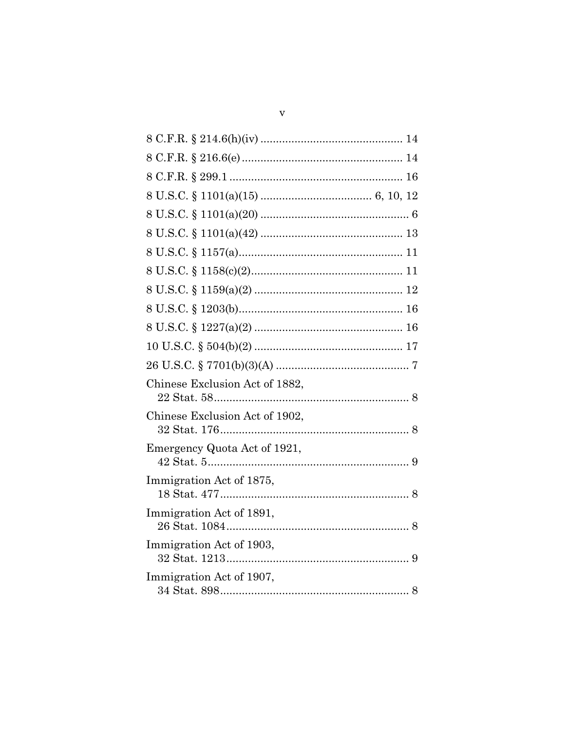| Chinese Exclusion Act of 1882, |
|--------------------------------|
| Chinese Exclusion Act of 1902, |
| Emergency Quota Act of 1921,   |
| Immigration Act of 1875,       |
| Immigration Act of 1891,       |
| Immigration Act of 1903,       |
| Immigration Act of 1907,       |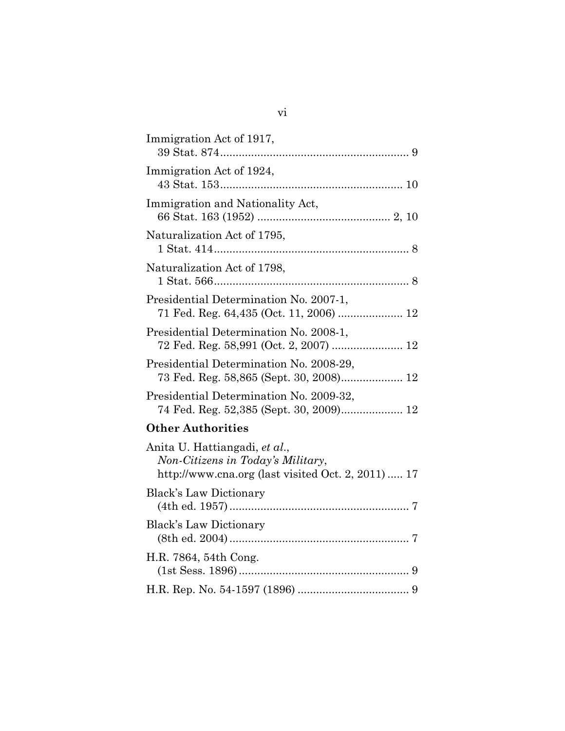| Immigration Act of 1917,                |  |
|-----------------------------------------|--|
| Immigration Act of 1924,                |  |
| Immigration and Nationality Act,        |  |
| Naturalization Act of 1795,             |  |
| Naturalization Act of 1798,             |  |
| Presidential Determination No. 2007-1,  |  |
| Presidential Determination No. 2008-1,  |  |
| Presidential Determination No. 2008-29, |  |
| Presidential Determination No. 2009-32, |  |
| <b>Other Authorities</b>                |  |

| Anita U. Hattiangadi, et al.,<br>Non-Citizens in Today's Military,<br>http://www.cna.org (last visited Oct. 2, 2011)  17 |  |
|--------------------------------------------------------------------------------------------------------------------------|--|
| <b>Black's Law Dictionary</b>                                                                                            |  |
| <b>Black's Law Dictionary</b>                                                                                            |  |
| H.R. 7864, 54th Cong.                                                                                                    |  |
|                                                                                                                          |  |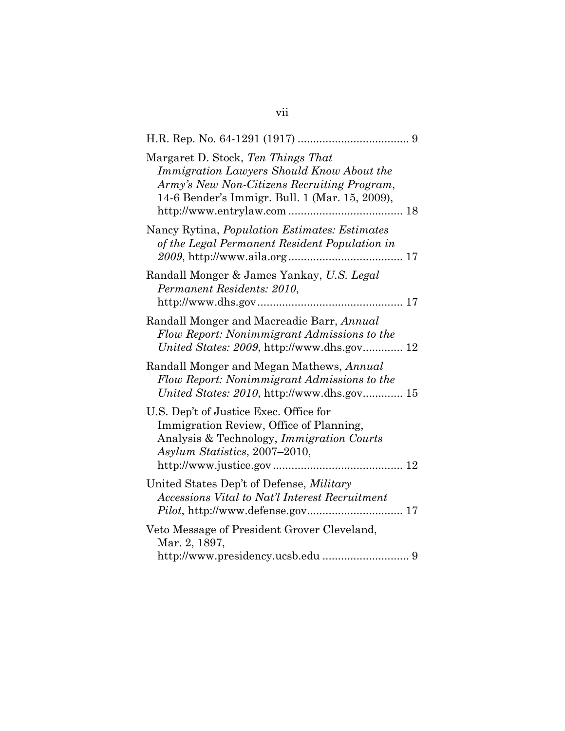| Margaret D. Stock, Ten Things That<br>Immigration Lawyers Should Know About the<br>Army's New Non-Citizens Recruiting Program,<br>14-6 Bender's Immigr. Bull. 1 (Mar. 15, 2009), |
|----------------------------------------------------------------------------------------------------------------------------------------------------------------------------------|
| Nancy Rytina, <i>Population Estimates: Estimates</i><br>of the Legal Permanent Resident Population in                                                                            |
| Randall Monger & James Yankay, U.S. Legal<br>Permanent Residents: 2010,                                                                                                          |
| Randall Monger and Macreadie Barr, Annual<br>Flow Report: Nonimmigrant Admissions to the                                                                                         |
| Randall Monger and Megan Mathews, Annual<br>Flow Report: Nonimmigrant Admissions to the<br>United States: 2010, http://www.dhs.gov 15                                            |
| U.S. Dep't of Justice Exec. Office for<br>Immigration Review, Office of Planning,<br>Analysis & Technology, <i>Immigration Courts</i><br>Asylum Statistics, 2007-2010,           |
| United States Dep't of Defense, <i>Military</i><br>Accessions Vital to Nat'l Interest Recruitment                                                                                |
| Veto Message of President Grover Cleveland,<br>Mar. 2, 1897,                                                                                                                     |

## vii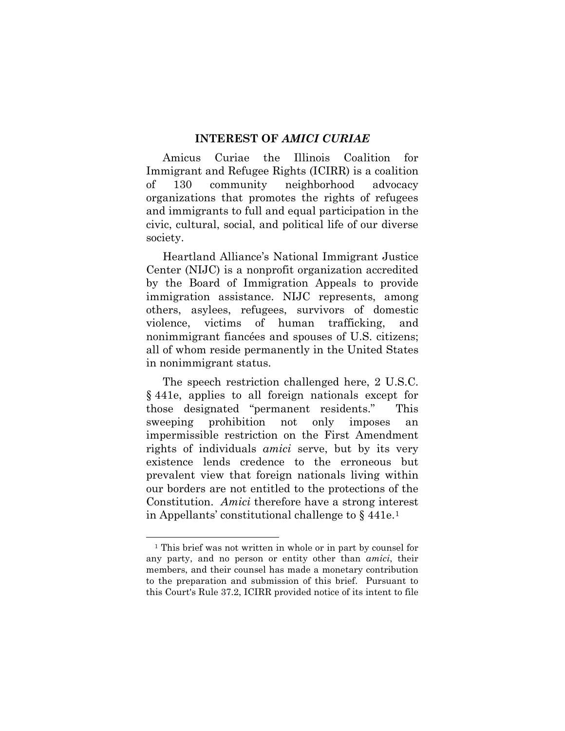#### **INTEREST OF** *AMICI CURIAE*

Amicus Curiae the Illinois Coalition for Immigrant and Refugee Rights (ICIRR) is a coalition of 130 community neighborhood advocacy organizations that promotes the rights of refugees and immigrants to full and equal participation in the civic, cultural, social, and political life of our diverse society.

Heartland Alliance's National Immigrant Justice Center (NIJC) is a nonprofit organization accredited by the Board of Immigration Appeals to provide immigration assistance. NIJC represents, among others, asylees, refugees, survivors of domestic violence, victims of human trafficking, and nonimmigrant fiancées and spouses of U.S. citizens; all of whom reside permanently in the United States in nonimmigrant status.

The speech restriction challenged here, 2 U.S.C. § 441e, applies to all foreign nationals except for those designated "permanent residents." This sweeping prohibition not only imposes an impermissible restriction on the First Amendment rights of individuals *amici* serve, but by its very existence lends credence to the erroneous but prevalent view that foreign nationals living within our borders are not entitled to the protections of the Constitution. *Amici* therefore have a strong interest in Appellants' constitutional challenge to  $\S$  441e.<sup>1</sup>

<span id="page-8-0"></span> <sup>1</sup> This brief was not written in whole or in part by counsel for any party, and no person or entity other than *amici*, their members, and their counsel has made a monetary contribution to the preparation and submission of this brief. Pursuant to this Court's Rule 37.2, ICIRR provided notice of its intent to file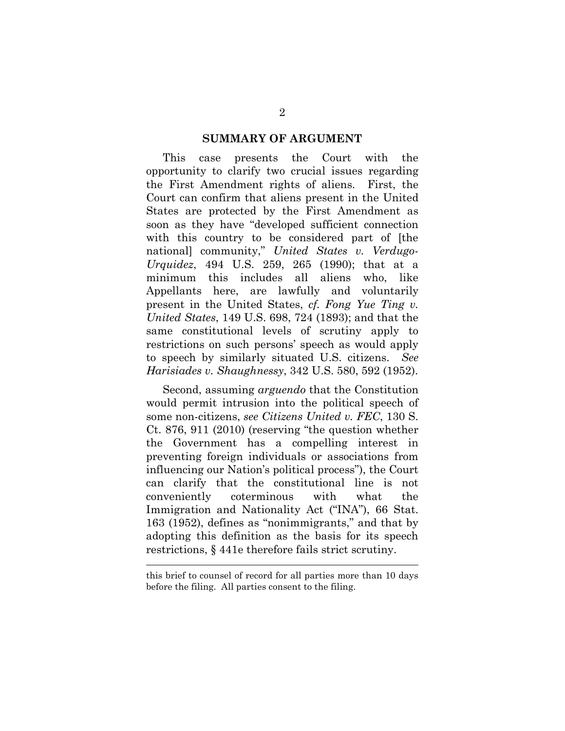#### **SUMMARY OF ARGUMENT**

This case presents the Court with the opportunity to clarify two crucial issues regarding the First Amendment rights of aliens. First, the Court can confirm that aliens present in the United States are protected by the First Amendment as soon as they have "developed sufficient connection with this country to be considered part of [the national] community," *United States v. Verdugo-Urquidez*, 494 U.S. 259, 265 (1990); that at a minimum this includes all aliens who, like Appellants here, are lawfully and voluntarily present in the United States, *cf. Fong Yue Ting v. United States*, 149 U.S. 698, 724 (1893); and that the same constitutional levels of scrutiny apply to restrictions on such persons' speech as would apply to speech by similarly situated U.S. citizens. *See Harisiades v. Shaughnessy*, 342 U.S. 580, 592 (1952).

Second, assuming *arguendo* that the Constitution would permit intrusion into the political speech of some non-citizens, *see Citizens United v. FEC*, 130 S. Ct. 876, 911 (2010) (reserving "the question whether the Government has a compelling interest in preventing foreign individuals or associations from influencing our Nation's political process"), the Court can clarify that the constitutional line is not conveniently coterminous with what the Immigration and Nationality Act ("INA"), 66 Stat. 163 (1952), defines as "nonimmigrants," and that by adopting this definition as the basis for its speech restrictions, § 441e therefore fails strict scrutiny.

this brief to counsel of record for all parties more than 10 days before the filing. All parties consent to the filing.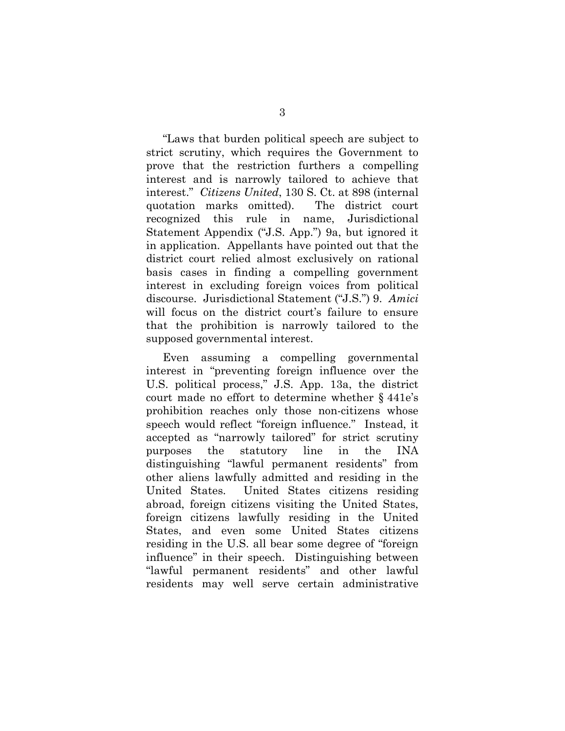"Laws that burden political speech are subject to strict scrutiny, which requires the Government to prove that the restriction furthers a compelling interest and is narrowly tailored to achieve that interest." *Citizens United*, 130 S. Ct. at 898 (internal quotation marks omitted). The district court recognized this rule in name, Jurisdictional Statement Appendix ("J.S. App.") 9a, but ignored it in application. Appellants have pointed out that the district court relied almost exclusively on rational basis cases in finding a compelling government interest in excluding foreign voices from political discourse. Jurisdictional Statement ("J.S.") 9. *Amici* will focus on the district court's failure to ensure that the prohibition is narrowly tailored to the supposed governmental interest.

Even assuming a compelling governmental interest in "preventing foreign influence over the U.S. political process," J.S. App. 13a, the district court made no effort to determine whether § 441e's prohibition reaches only those non-citizens whose speech would reflect "foreign influence." Instead, it accepted as "narrowly tailored" for strict scrutiny purposes the statutory line in the INA distinguishing "lawful permanent residents" from other aliens lawfully admitted and residing in the United States. United States citizens residing abroad, foreign citizens visiting the United States, foreign citizens lawfully residing in the United States, and even some United States citizens residing in the U.S. all bear some degree of "foreign influence" in their speech. Distinguishing between "lawful permanent residents" and other lawful residents may well serve certain administrative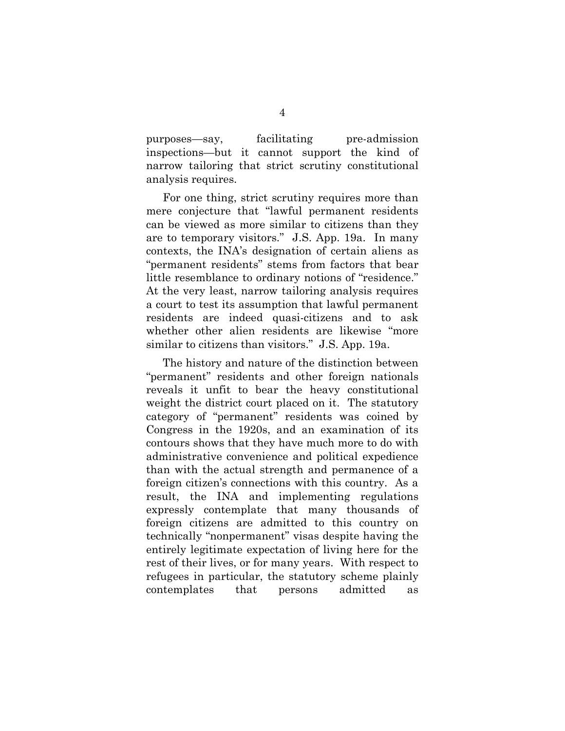purposes—say, facilitating pre-admission inspections—but it cannot support the kind of narrow tailoring that strict scrutiny constitutional analysis requires.

For one thing, strict scrutiny requires more than mere conjecture that "lawful permanent residents can be viewed as more similar to citizens than they are to temporary visitors." J.S. App. 19a.In many contexts, the INA's designation of certain aliens as "permanent residents" stems from factors that bear little resemblance to ordinary notions of "residence." At the very least, narrow tailoring analysis requires a court to test its assumption that lawful permanent residents are indeed quasi-citizens and to ask whether other alien residents are likewise "more similar to citizens than visitors." J.S. App. 19a.

The history and nature of the distinction between "permanent" residents and other foreign nationals reveals it unfit to bear the heavy constitutional weight the district court placed on it. The statutory category of "permanent" residents was coined by Congress in the 1920s, and an examination of its contours shows that they have much more to do with administrative convenience and political expedience than with the actual strength and permanence of a foreign citizen's connections with this country. As a result, the INA and implementing regulations expressly contemplate that many thousands of foreign citizens are admitted to this country on technically "nonpermanent" visas despite having the entirely legitimate expectation of living here for the rest of their lives, or for many years. With respect to refugees in particular, the statutory scheme plainly contemplates that persons admitted as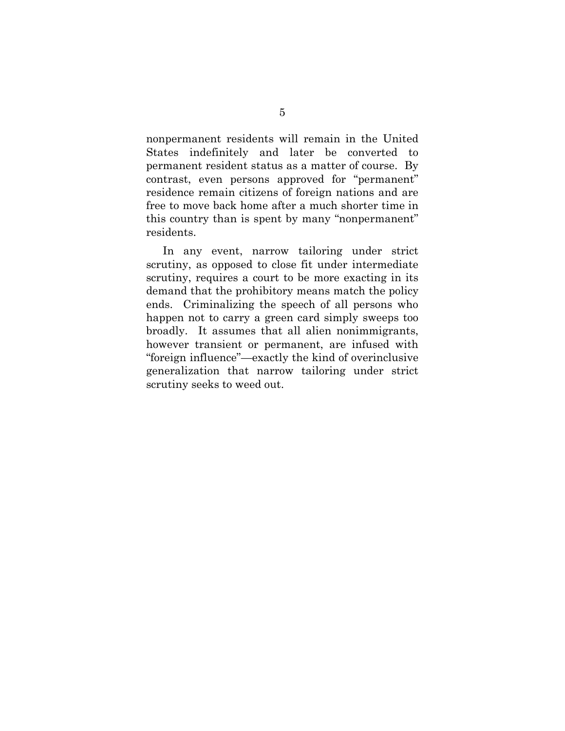nonpermanent residents will remain in the United States indefinitely and later be converted to permanent resident status as a matter of course. By contrast, even persons approved for "permanent" residence remain citizens of foreign nations and are free to move back home after a much shorter time in this country than is spent by many "nonpermanent" residents.

In any event, narrow tailoring under strict scrutiny, as opposed to close fit under intermediate scrutiny, requires a court to be more exacting in its demand that the prohibitory means match the policy ends. Criminalizing the speech of all persons who happen not to carry a green card simply sweeps too broadly. It assumes that all alien nonimmigrants, however transient or permanent, are infused with "foreign influence"—exactly the kind of overinclusive generalization that narrow tailoring under strict scrutiny seeks to weed out.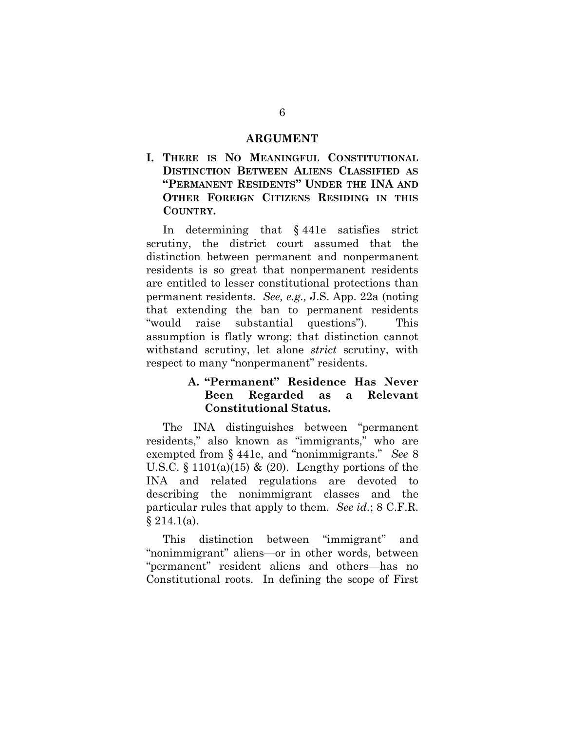#### **ARGUMENT**

**I. THERE IS NO MEANINGFUL CONSTITUTIONAL DISTINCTION BETWEEN ALIENS CLASSIFIED AS "PERMANENT RESIDENTS" UNDER THE INA AND OTHER FOREIGN CITIZENS RESIDING IN THIS COUNTRY.**

In determining that § 441e satisfies strict scrutiny, the district court assumed that the distinction between permanent and nonpermanent residents is so great that nonpermanent residents are entitled to lesser constitutional protections than permanent residents. *See, e.g.,* J.S. App. 22a (noting that extending the ban to permanent residents "would raise substantial questions"). This assumption is flatly wrong: that distinction cannot withstand scrutiny, let alone *strict* scrutiny, with respect to many "nonpermanent" residents.

## **A. "Permanent" Residence Has Never Been Regarded as a Relevant Constitutional Status.**

The INA distinguishes between "permanent residents," also known as "immigrants," who are exempted from § 441e, and "nonimmigrants." *See* 8 U.S.C.  $\S$  1101(a)(15) & (20). Lengthy portions of the INA and related regulations are devoted to describing the nonimmigrant classes and the particular rules that apply to them. *See id.*; 8 C.F.R.  $§ 214.1(a).$ 

This distinction between "immigrant" and "nonimmigrant" aliens—or in other words, between "permanent" resident aliens and others—has no Constitutional roots. In defining the scope of First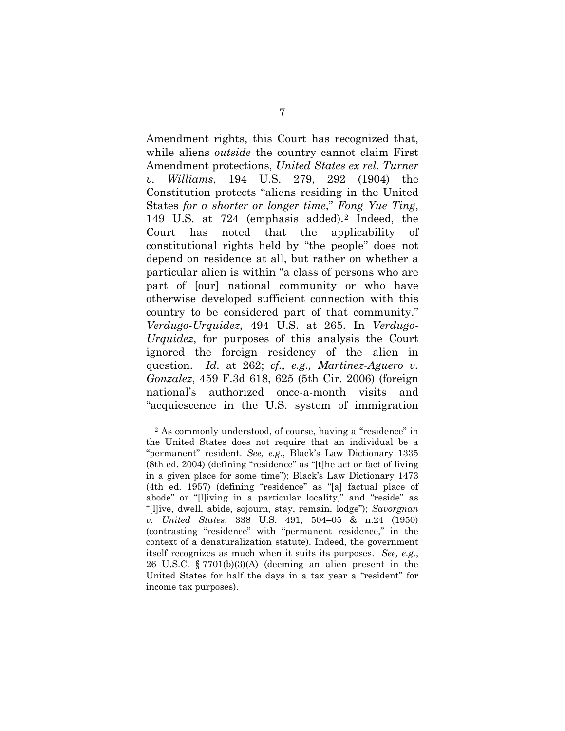Amendment rights, this Court has recognized that, while aliens *outside* the country cannot claim First Amendment protections, *United States ex rel. Turner v. Williams*, 194 U.S. 279, 292 (1904) the Constitution protects "aliens residing in the United States *for a shorter or longer time*," *Fong Yue Ting*, 149 U.S. at 724 (emphasis added).[2](#page-14-0) Indeed, the Court has noted that the applicability of constitutional rights held by "the people" does not depend on residence at all, but rather on whether a particular alien is within "a class of persons who are part of [our] national community or who have otherwise developed sufficient connection with this country to be considered part of that community." *Verdugo-Urquidez*, 494 U.S. at 265. In *Verdugo-Urquidez*, for purposes of this analysis the Court ignored the foreign residency of the alien in question. *Id.* at 262; *cf., e.g., Martinez-Aguero v. Gonzalez*, 459 F.3d 618, 625 (5th Cir. 2006) (foreign national's authorized once-a-month visits and "acquiescence in the U.S. system of immigration

<span id="page-14-0"></span> <sup>2</sup> As commonly understood, of course, having a "residence" in the United States does not require that an individual be a "permanent" resident. *See, e.g.*, Black's Law Dictionary 1335 (8th ed. 2004) (defining "residence" as "[t]he act or fact of living in a given place for some time"); Black's Law Dictionary 1473 (4th ed. 1957) (defining "residence" as "[a] factual place of abode" or "[l]iving in a particular locality," and "reside" as "[l]ive, dwell, abide, sojourn, stay, remain, lodge"); *Savorgnan v. United States*, 338 U.S. 491, 504–05 & n.24 (1950) (contrasting "residence" with "permanent residence," in the context of a denaturalization statute). Indeed, the government itself recognizes as much when it suits its purposes. *See, e.g.*, 26 U.S.C. § 7701(b)(3)(A) (deeming an alien present in the United States for half the days in a tax year a "resident" for income tax purposes).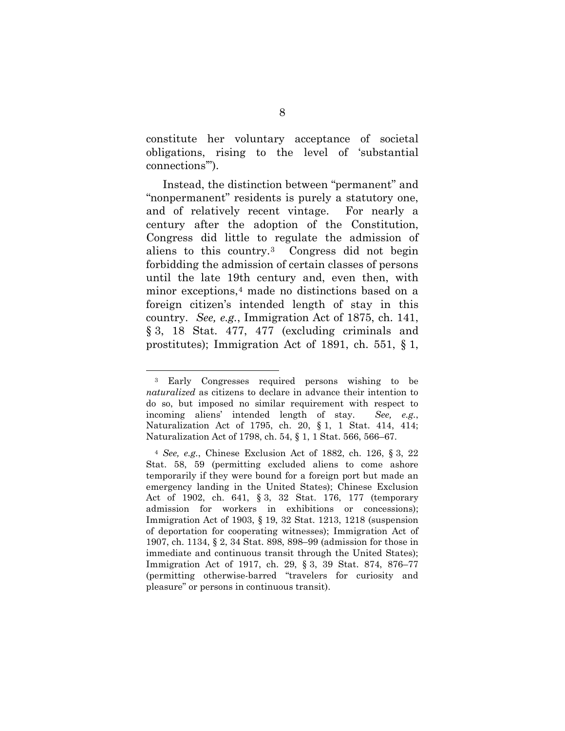constitute her voluntary acceptance of societal obligations, rising to the level of 'substantial connections'").

Instead, the distinction between "permanent" and "nonpermanent" residents is purely a statutory one, and of relatively recent vintage. For nearly a century after the adoption of the Constitution, Congress did little to regulate the admission of aliens to this country.[3](#page-15-0) Congress did not begin forbidding the admission of certain classes of persons until the late 19th century and, even then, with minor exceptions,<sup>[4](#page-15-1)</sup> made no distinctions based on a foreign citizen's intended length of stay in this country. *See, e.g.*, Immigration Act of 1875, ch. 141, § 3, 18 Stat. 477, 477 (excluding criminals and prostitutes); Immigration Act of 1891, ch. 551, § 1,

<span id="page-15-0"></span> <sup>3</sup> Early Congresses required persons wishing to be *naturalized* as citizens to declare in advance their intention to do so, but imposed no similar requirement with respect to incoming aliens' intended length of stay. *See, e.g.*, Naturalization Act of 1795, ch. 20, § 1, 1 Stat. 414, 414; Naturalization Act of 1798, ch. 54, § 1, 1 Stat. 566, 566–67.

<span id="page-15-1"></span><sup>4</sup> *See, e.g.*, Chinese Exclusion Act of 1882, ch. 126, § 3, 22 Stat. 58, 59 (permitting excluded aliens to come ashore temporarily if they were bound for a foreign port but made an emergency landing in the United States); Chinese Exclusion Act of 1902, ch. 641, § 3, 32 Stat. 176, 177 (temporary admission for workers in exhibitions or concessions); Immigration Act of 1903, § 19, 32 Stat. 1213, 1218 (suspension of deportation for cooperating witnesses); Immigration Act of 1907, ch. 1134, § 2, 34 Stat. 898, 898–99 (admission for those in immediate and continuous transit through the United States); Immigration Act of 1917, ch. 29, § 3, 39 Stat. 874, 876–77 (permitting otherwise-barred "travelers for curiosity and pleasure" or persons in continuous transit).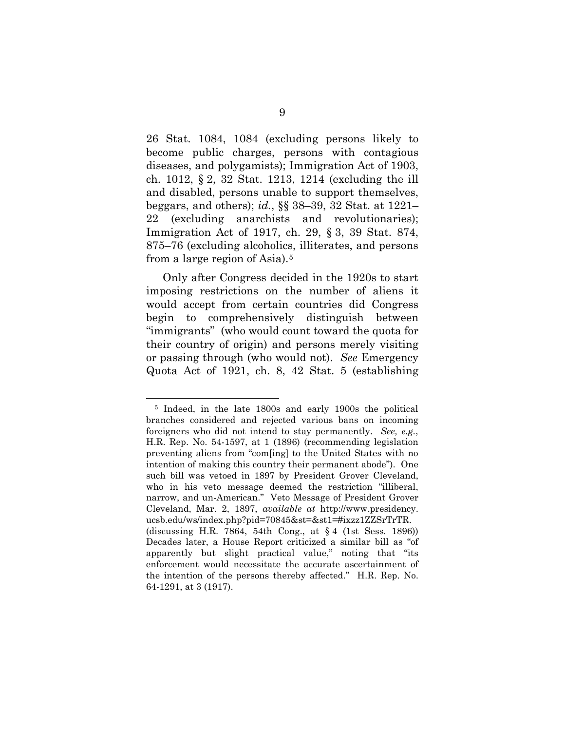26 Stat. 1084, 1084 (excluding persons likely to become public charges, persons with contagious diseases, and polygamists); Immigration Act of 1903, ch. 1012, § 2, 32 Stat. 1213, 1214 (excluding the ill and disabled, persons unable to support themselves, beggars, and others); *id.*, §§ 38–39, 32 Stat. at 1221– 22 (excluding anarchists and revolutionaries); Immigration Act of 1917, ch. 29, § 3, 39 Stat. 874, 875–76 (excluding alcoholics, illiterates, and persons from a large region of Asia).[5](#page-16-0)

Only after Congress decided in the 1920s to start imposing restrictions on the number of aliens it would accept from certain countries did Congress begin to comprehensively distinguish between "immigrants" (who would count toward the quota for their country of origin) and persons merely visiting or passing through (who would not). *See* Emergency Quota Act of 1921, ch. 8, 42 Stat. 5 (establishing

<span id="page-16-0"></span> <sup>5</sup> Indeed, in the late 1800s and early 1900s the political branches considered and rejected various bans on incoming foreigners who did not intend to stay permanently. *See, e.g.*, H.R. Rep. No. 54-1597, at 1 (1896) (recommending legislation preventing aliens from "com[ing] to the United States with no intention of making this country their permanent abode"). One such bill was vetoed in 1897 by President Grover Cleveland, who in his veto message deemed the restriction "illiberal, narrow, and un-American." Veto Message of President Grover Cleveland, Mar. 2, 1897, *available at* http://www.presidency. ucsb.edu/ws/index.php?pid=70845&st=&st1=#ixzz1ZZSrTrTR. (discussing H.R. 7864, 54th Cong., at § 4 (1st Sess. 1896)) Decades later, a House Report criticized a similar bill as "of apparently but slight practical value," noting that "its enforcement would necessitate the accurate ascertainment of the intention of the persons thereby affected." H.R. Rep. No. 64-1291, at 3 (1917).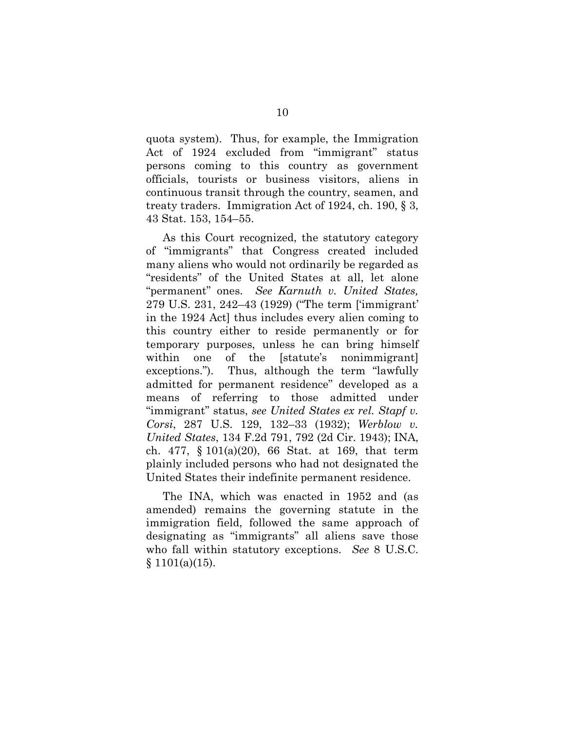quota system). Thus, for example, the Immigration Act of 1924 excluded from "immigrant" status persons coming to this country as government officials, tourists or business visitors, aliens in continuous transit through the country, seamen, and treaty traders. Immigration Act of 1924, ch. 190, § 3, 43 Stat. 153, 154–55.

As this Court recognized, the statutory category of "immigrants" that Congress created included many aliens who would not ordinarily be regarded as "residents" of the United States at all, let alone "permanent" ones. *See Karnuth v. United States,* 279 U.S. 231, 242–43 (1929) ("The term ['immigrant' in the 1924 Act] thus includes every alien coming to this country either to reside permanently or for temporary purposes, unless he can bring himself within one of the [statute's nonimmigrant] exceptions."). Thus, although the term "lawfully admitted for permanent residence" developed as a means of referring to those admitted under "immigrant" status, *see United States ex rel. Stapf v. Corsi*, 287 U.S. 129, 132–33 (1932); *Werblow v. United States*, 134 F.2d 791, 792 (2d Cir. 1943); INA, ch. 477, § 101(a)(20), 66 Stat. at 169, that term plainly included persons who had not designated the United States their indefinite permanent residence.

The INA, which was enacted in 1952 and (as amended) remains the governing statute in the immigration field, followed the same approach of designating as "immigrants" all aliens save those who fall within statutory exceptions. *See* 8 U.S.C.  $§ 1101(a)(15).$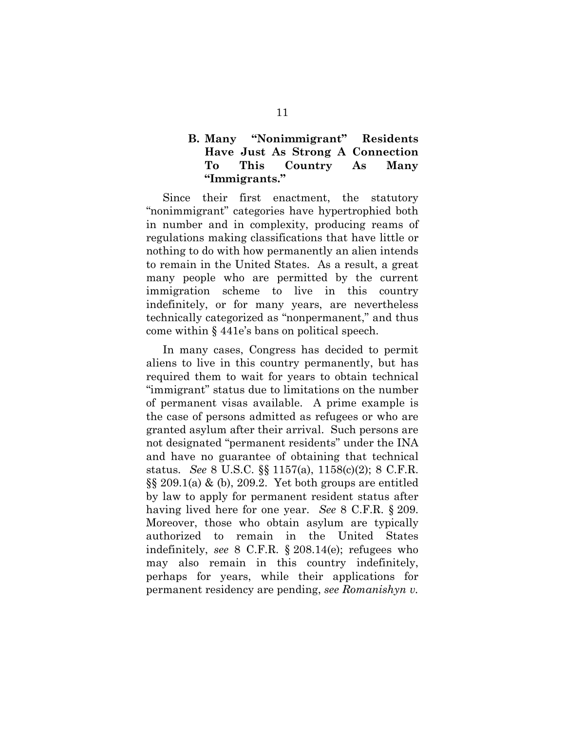## **B. Many "Nonimmigrant" Residents Have Just As Strong A Connection To This Country As Many "Immigrants."**

Since their first enactment, the statutory "nonimmigrant" categories have hypertrophied both in number and in complexity, producing reams of regulations making classifications that have little or nothing to do with how permanently an alien intends to remain in the United States. As a result, a great many people who are permitted by the current immigration scheme to live in this country indefinitely, or for many years, are nevertheless technically categorized as "nonpermanent," and thus come within § 441e's bans on political speech.

In many cases, Congress has decided to permit aliens to live in this country permanently, but has required them to wait for years to obtain technical "immigrant" status due to limitations on the number of permanent visas available. A prime example is the case of persons admitted as refugees or who are granted asylum after their arrival. Such persons are not designated "permanent residents" under the INA and have no guarantee of obtaining that technical status. *See* 8 U.S.C. §§ 1157(a), 1158(c)(2); 8 C.F.R.  $\S$ § 209.1(a) & (b), 209.2. Yet both groups are entitled by law to apply for permanent resident status after having lived here for one year. *See* 8 C.F.R. § 209. Moreover, those who obtain asylum are typically authorized to remain in the United States indefinitely, *see* 8 C.F.R. § 208.14(e); refugees who may also remain in this country indefinitely, perhaps for years, while their applications for permanent residency are pending, *see Romanishyn v.*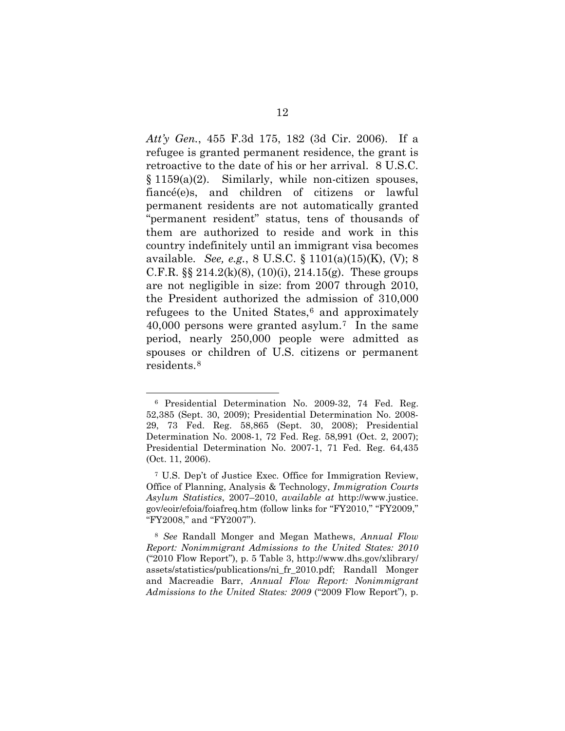*Att'y Gen.*, 455 F.3d 175, 182 (3d Cir. 2006). If a refugee is granted permanent residence, the grant is retroactive to the date of his or her arrival. 8 U.S.C. § 1159(a)(2). Similarly, while non-citizen spouses, fiancé(e)s, and children of citizens or lawful permanent residents are not automatically granted "permanent resident" status, tens of thousands of them are authorized to reside and work in this country indefinitely until an immigrant visa becomes available. *See, e.g.*, 8 U.S.C. § 1101(a)(15)(K), (V); 8 C.F.R.  $\S$  214.2(k)(8), (10)(i), 214.15(g). These groups are not negligible in size: from 2007 through 2010, the President authorized the admission of 310,000 refugees to the United States, $6$  and approximately 40,000 persons were granted asylum.[7](#page-19-1) In the same period, nearly 250,000 people were admitted as spouses or children of U.S. citizens or permanent residents.[8](#page-19-2)

<span id="page-19-0"></span> <sup>6</sup> Presidential Determination No. 2009-32, 74 Fed. Reg. 52,385 (Sept. 30, 2009); Presidential Determination No. 2008- 29, 73 Fed. Reg. 58,865 (Sept. 30, 2008); Presidential Determination No. 2008-1, 72 Fed. Reg. 58,991 (Oct. 2, 2007); Presidential Determination No. 2007-1, 71 Fed. Reg. 64,435 (Oct. 11, 2006).

<span id="page-19-1"></span><sup>7</sup> U.S. Dep't of Justice Exec. Office for Immigration Review, Office of Planning, Analysis & Technology, *Immigration Courts Asylum Statistics*, 2007–2010, *available at* http://www.justice. gov/eoir/efoia/foiafreq.htm (follow links for "FY2010," "FY2009," "FY2008," and "FY2007").

<span id="page-19-2"></span><sup>8</sup> *See* Randall Monger and Megan Mathews, *Annual Flow Report: Nonimmigrant Admissions to the United States: 2010* ("2010 Flow Report"), p. 5 Table 3, http://www.dhs.gov/xlibrary/ assets/statistics/publications/ni\_fr\_2010.pdf; Randall Monger and Macreadie Barr, *Annual Flow Report: Nonimmigrant Admissions to the United States: 2009* ("2009 Flow Report"), p.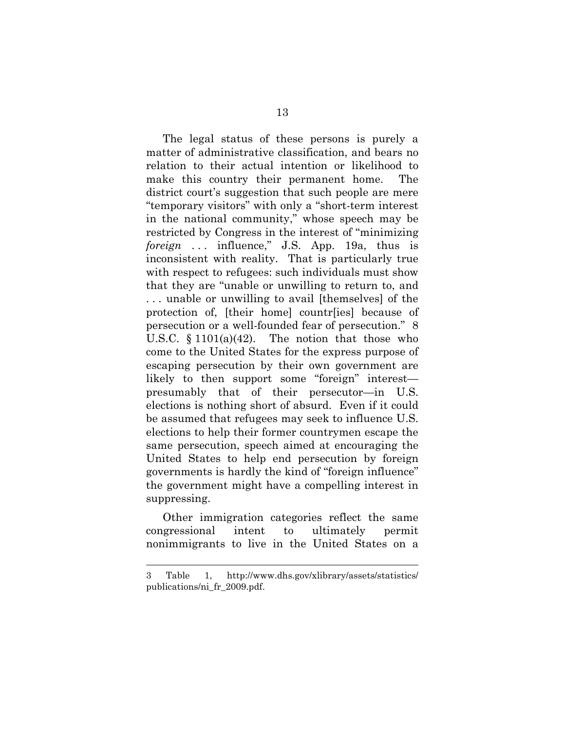The legal status of these persons is purely a matter of administrative classification, and bears no relation to their actual intention or likelihood to make this country their permanent home. The district court's suggestion that such people are mere "temporary visitors" with only a "short-term interest in the national community," whose speech may be restricted by Congress in the interest of "minimizing *foreign* ... influence," J.S. App. 19a, thus is inconsistent with reality. That is particularly true with respect to refugees: such individuals must show that they are "unable or unwilling to return to, and . . . unable or unwilling to avail [themselves] of the protection of, [their home] countr[ies] because of persecution or a well-founded fear of persecution." 8 U.S.C.  $\S 1101(a)(42)$ . The notion that those who come to the United States for the express purpose of escaping persecution by their own government are likely to then support some "foreign" interest presumably that of their persecutor—in U.S. elections is nothing short of absurd. Even if it could be assumed that refugees may seek to influence U.S. elections to help their former countrymen escape the same persecution, speech aimed at encouraging the United States to help end persecution by foreign governments is hardly the kind of "foreign influence" the government might have a compelling interest in suppressing.

Other immigration categories reflect the same congressional intent to ultimately permit nonimmigrants to live in the United States on a

<sup>3</sup> Table 1, http://www.dhs.gov/xlibrary/assets/statistics/ publications/ni\_fr\_2009.pdf.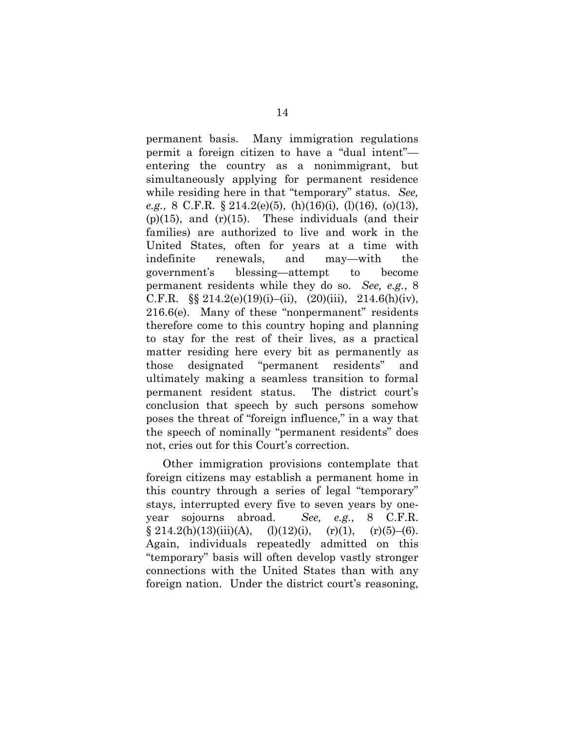permanent basis. Many immigration regulations permit a foreign citizen to have a "dual intent" entering the country as a nonimmigrant, but simultaneously applying for permanent residence while residing here in that "temporary" status. *See, e.g.*, 8 C.F.R. § 214.2(e)(5), (h)(16)(i), (l)(16), (o)(13),  $(p)(15)$ , and  $(r)(15)$ . These individuals (and their families) are authorized to live and work in the United States, often for years at a time with indefinite renewals, and may—with the government's blessing—attempt to become permanent residents while they do so. *See, e.g.*, 8 C.F.R.  $\S\S 214.2(e)(19)(i) - (ii)$ , (20)(iii), 214.6(h)(iv), 216.6(e). Many of these "nonpermanent" residents therefore come to this country hoping and planning to stay for the rest of their lives, as a practical matter residing here every bit as permanently as those designated "permanent residents" and ultimately making a seamless transition to formal permanent resident status. The district court's conclusion that speech by such persons somehow poses the threat of "foreign influence," in a way that the speech of nominally "permanent residents" does not, cries out for this Court's correction.

Other immigration provisions contemplate that foreign citizens may establish a permanent home in this country through a series of legal "temporary" stays, interrupted every five to seven years by oneyear sojourns abroad. *See, e.g.*, 8 C.F.R.  $\S 214.2(h)(13)(iii)(A), (l)(12)(i), (r)(1), (r)(5)-(6).$ Again, individuals repeatedly admitted on this "temporary" basis will often develop vastly stronger connections with the United States than with any foreign nation. Under the district court's reasoning,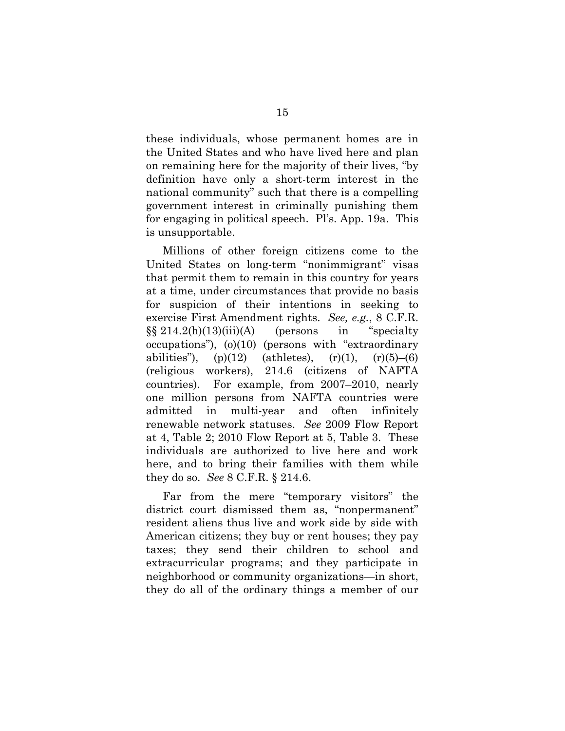these individuals, whose permanent homes are in the United States and who have lived here and plan on remaining here for the majority of their lives, "by definition have only a short-term interest in the national community" such that there is a compelling government interest in criminally punishing them for engaging in political speech. Pl's. App. 19a.This is unsupportable.

Millions of other foreign citizens come to the United States on long-term "nonimmigrant" visas that permit them to remain in this country for years at a time, under circumstances that provide no basis for suspicion of their intentions in seeking to exercise First Amendment rights. *See, e.g.*, 8 C.F.R.  $\S\S 214.2(h)(13)(iii)(A)$  (persons in "specialty occupations"), (o)(10) (persons with "extraordinary abilities"), (p)(12) (athletes),  $(r)(1)$ ,  $(r)(5)$ – $(6)$ (religious workers), 214.6 (citizens of NAFTA countries). For example, from 2007–2010, nearly one million persons from NAFTA countries were admitted in multi-year and often infinitely renewable network statuses. *See* 2009 Flow Report at 4, Table 2; 2010 Flow Report at 5, Table 3. These individuals are authorized to live here and work here, and to bring their families with them while they do so. *See* 8 C.F.R. § 214.6.

Far from the mere "temporary visitors" the district court dismissed them as, "nonpermanent" resident aliens thus live and work side by side with American citizens; they buy or rent houses; they pay taxes; they send their children to school and extracurricular programs; and they participate in neighborhood or community organizations—in short, they do all of the ordinary things a member of our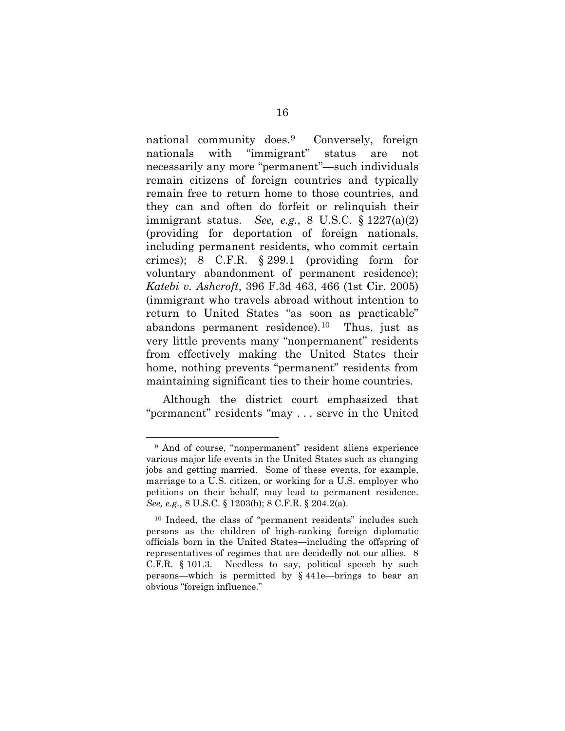national community does.[9](#page-23-0) Conversely, foreign nationals with "immigrant" status are not necessarily any more "permanent"—such individuals remain citizens of foreign countries and typically remain free to return home to those countries, and they can and often do forfeit or relinquish their immigrant status. *See, e.g.*, 8 U.S.C. § 1227(a)(2) (providing for deportation of foreign nationals, including permanent residents, who commit certain crimes); 8 C.F.R. § 299.1 (providing form for voluntary abandonment of permanent residence); *Katebi v. Ashcroft*, 396 F.3d 463, 466 (1st Cir. 2005) (immigrant who travels abroad without intention to return to United States "as soon as practicable" abandons permanent residence).<sup>[10](#page-23-1)</sup> Thus, just as very little prevents many "nonpermanent" residents from effectively making the United States their home, nothing prevents "permanent" residents from maintaining significant ties to their home countries.

Although the district court emphasized that "permanent" residents "may . . . serve in the United

<span id="page-23-0"></span> <sup>9</sup> And of course, "nonpermanent" resident aliens experience various major life events in the United States such as changing jobs and getting married. Some of these events, for example, marriage to a U.S. citizen, or working for a U.S. employer who petitions on their behalf, may lead to permanent residence. *See, e.g.*, 8 U.S.C. § 1203(b); 8 C.F.R. § 204.2(a).

<span id="page-23-1"></span><sup>10</sup> Indeed, the class of "permanent residents" includes such persons as the children of high-ranking foreign diplomatic officials born in the United States—including the offspring of representatives of regimes that are decidedly not our allies. 8 C.F.R. § 101.3. Needless to say, political speech by such persons—which is permitted by § 441e—brings to bear an obvious "foreign influence."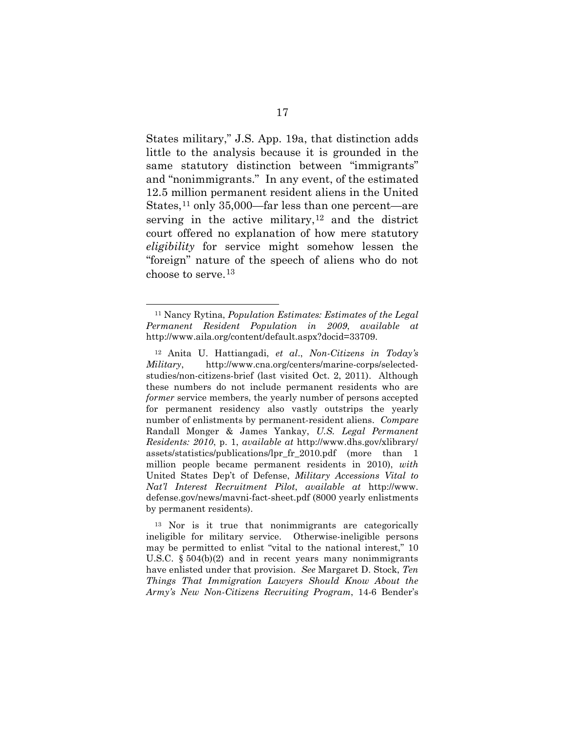States military," J.S. App. 19a, that distinction adds little to the analysis because it is grounded in the same statutory distinction between "immigrants" and "nonimmigrants." In any event, of the estimated 12.5 million permanent resident aliens in the United States,<sup>[11](#page-24-0)</sup> only 35,000—far less than one percent—are serving in the active military,  $12$  and the district court offered no explanation of how mere statutory *eligibility* for service might somehow lessen the "foreign" nature of the speech of aliens who do not choose to serve.[13](#page-24-2)

<span id="page-24-0"></span> <sup>11</sup> Nancy Rytina, *Population Estimates: Estimates of the Legal Permanent Resident Population in 2009*, *available at* http://www.aila.org/content/default.aspx?docid=33709.

<span id="page-24-1"></span><sup>12</sup> Anita U. Hattiangadi, *et al*., *Non-Citizens in Today's Military*, http://www.cna.org/centers/marine-corps/selectedstudies/non-citizens-brief (last visited Oct. 2, 2011). Although these numbers do not include permanent residents who are *former* service members, the yearly number of persons accepted for permanent residency also vastly outstrips the yearly number of enlistments by permanent-resident aliens. *Compare*  Randall Monger & James Yankay, *U.S. Legal Permanent Residents: 2010*, p. 1, *available at* http://www.dhs.gov/xlibrary/ assets/statistics/publications/lpr\_fr\_2010.pdf (more than 1 million people became permanent residents in 2010), *with*  United States Dep't of Defense, *Military Accessions Vital to Nat'l Interest Recruitment Pilot*, *available at* [http://www.](http://www.defense.gov/news/mavni-fact-sheet.pdf) [defense.gov/news/mavni-fact-sheet.pdf](http://www.defense.gov/news/mavni-fact-sheet.pdf) (8000 yearly enlistments by permanent residents).

<span id="page-24-2"></span><sup>13</sup> Nor is it true that nonimmigrants are categorically ineligible for military service. Otherwise-ineligible persons may be permitted to enlist "vital to the national interest," 10 U.S.C. § 504(b)(2) and in recent years many nonimmigrants have enlisted under that provision. *See* Margaret D. Stock, *Ten Things That Immigration Lawyers Should Know About the Army's New Non-Citizens Recruiting Program*, 14-6 Bender's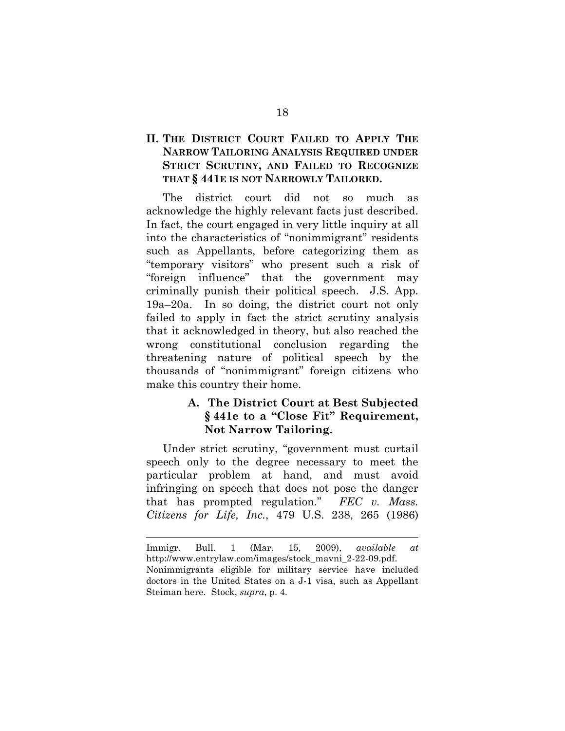## **II. THE DISTRICT COURT FAILED TO APPLY THE NARROW TAILORING ANALYSIS REQUIRED UNDER STRICT SCRUTINY, AND FAILED TO RECOGNIZE THAT § 441E IS NOT NARROWLY TAILORED.**

The district court did not so much as acknowledge the highly relevant facts just described. In fact, the court engaged in very little inquiry at all into the characteristics of "nonimmigrant" residents such as Appellants, before categorizing them as "temporary visitors" who present such a risk of "foreign influence" that the government may criminally punish their political speech. J.S. App. 19a–20a. In so doing, the district court not only failed to apply in fact the strict scrutiny analysis that it acknowledged in theory, but also reached the wrong constitutional conclusion regarding the threatening nature of political speech by the thousands of "nonimmigrant" foreign citizens who make this country their home.

## **A. The District Court at Best Subjected § 441e to a "Close Fit" Requirement, Not Narrow Tailoring.**

Under strict scrutiny, "government must curtail speech only to the degree necessary to meet the particular problem at hand, and must avoid infringing on speech that does not pose the danger that has prompted regulation." *FEC v. Mass. Citizens for Life, Inc.*, 479 U.S. 238, 265 (1986)

Immigr. Bull. 1 (Mar. 15, 2009), *available at*  http://www.entrylaw.com/images/stock\_mavni\_2-22-09.pdf. Nonimmigrants eligible for military service have included doctors in the United States on a J-1 visa, such as Appellant Steiman here. Stock, *supra*, p. 4.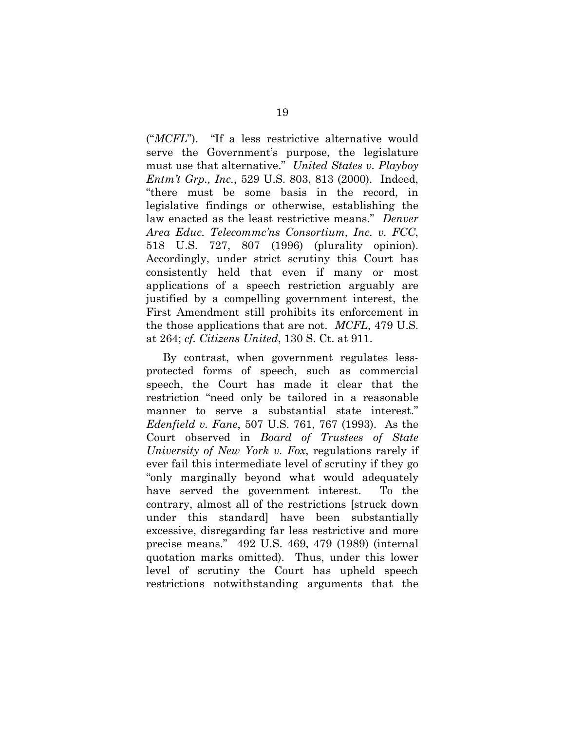("*MCFL*"). "If a less restrictive alternative would serve the Government's purpose, the legislature must use that alternative." *United States v. Playboy Entm't Grp., Inc.*, 529 U.S. 803, 813 (2000). Indeed, "there must be some basis in the record, in legislative findings or otherwise, establishing the law enacted as the least restrictive means." *Denver Area Educ. Telecommc'ns Consortium, Inc. v. FCC*, 518 U.S. 727, 807 (1996) (plurality opinion). Accordingly, under strict scrutiny this Court has consistently held that even if many or most applications of a speech restriction arguably are justified by a compelling government interest, the First Amendment still prohibits its enforcement in the those applications that are not. *MCFL*, 479 U.S. at 264; *cf. Citizens United*, 130 S. Ct. at 911.

By contrast, when government regulates lessprotected forms of speech, such as commercial speech, the Court has made it clear that the restriction "need only be tailored in a reasonable manner to serve a substantial state interest." *Edenfield v. Fane*, 507 U.S. 761, 767 (1993). As the Court observed in *Board of Trustees of State University of New York v. Fox*, regulations rarely if ever fail this intermediate level of scrutiny if they go "only marginally beyond what would adequately have served the government interest. To the contrary, almost all of the restrictions [struck down under this standard] have been substantially excessive, disregarding far less restrictive and more precise means." 492 U.S. 469, 479 (1989) (internal quotation marks omitted). Thus, under this lower level of scrutiny the Court has upheld speech restrictions notwithstanding arguments that the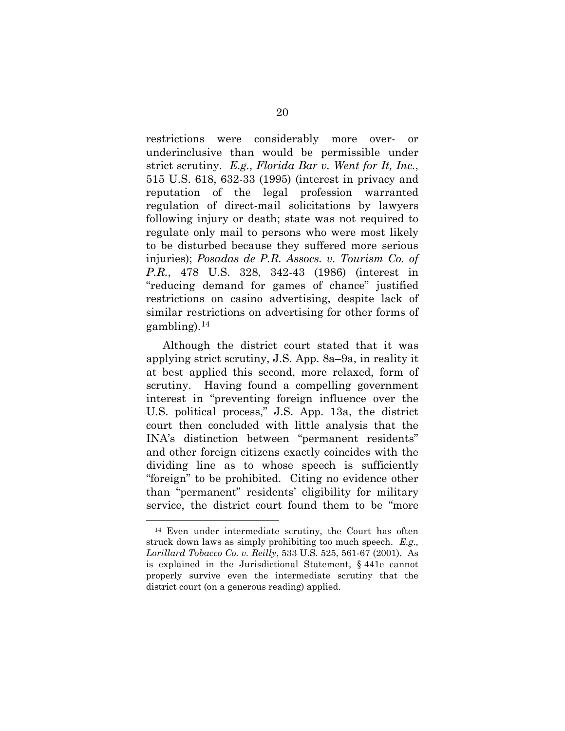restrictions were considerably more over- or underinclusive than would be permissible under strict scrutiny. *E.g., Florida Bar v. Went for It, Inc.*, 515 U.S. 618, 632-33 (1995) (interest in privacy and reputation of the legal profession warranted regulation of direct-mail solicitations by lawyers following injury or death; state was not required to regulate only mail to persons who were most likely to be disturbed because they suffered more serious injuries); *Posadas de P.R. Assocs. v. Tourism Co. of P.R.*, 478 U.S. 328, 342-43 (1986) (interest in "reducing demand for games of chance" justified restrictions on casino advertising, despite lack of similar restrictions on advertising for other forms of gambling). $^{14}$  $^{14}$  $^{14}$ 

Although the district court stated that it was applying strict scrutiny, J.S. App. 8a–9a, in reality it at best applied this second, more relaxed, form of scrutiny. Having found a compelling government interest in "preventing foreign influence over the U.S. political process," J.S. App. 13a, the district court then concluded with little analysis that the INA's distinction between "permanent residents" and other foreign citizens exactly coincides with the dividing line as to whose speech is sufficiently "foreign" to be prohibited. Citing no evidence other than "permanent" residents' eligibility for military service, the district court found them to be "more

<span id="page-27-0"></span> <sup>14</sup> Even under intermediate scrutiny, the Court has often struck down laws as simply prohibiting too much speech. *E.g., Lorillard Tobacco Co. v. Reilly*, 533 U.S. 525, 561-67 (2001). As is explained in the Jurisdictional Statement, § 441e cannot properly survive even the intermediate scrutiny that the district court (on a generous reading) applied.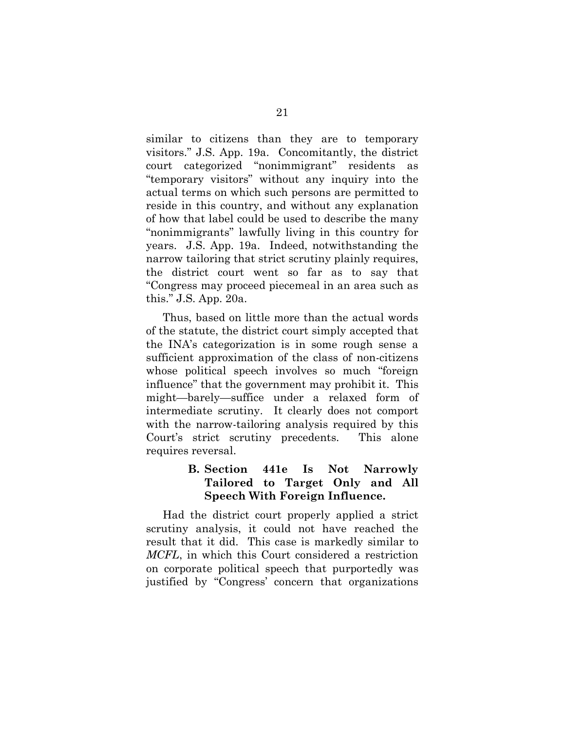similar to citizens than they are to temporary visitors." J.S. App. 19a. Concomitantly, the district court categorized "nonimmigrant" residents as "temporary visitors" without any inquiry into the actual terms on which such persons are permitted to reside in this country, and without any explanation of how that label could be used to describe the many "nonimmigrants" lawfully living in this country for years. J.S. App. 19a.Indeed, notwithstanding the narrow tailoring that strict scrutiny plainly requires, the district court went so far as to say that "Congress may proceed piecemeal in an area such as this." J.S. App. 20a.

Thus, based on little more than the actual words of the statute, the district court simply accepted that the INA's categorization is in some rough sense a sufficient approximation of the class of non-citizens whose political speech involves so much "foreign influence" that the government may prohibit it. This might—barely—suffice under a relaxed form of intermediate scrutiny. It clearly does not comport with the narrow-tailoring analysis required by this Court's strict scrutiny precedents. This alone requires reversal.

## **B. Section 441e Is Not Narrowly Tailored to Target Only and All Speech With Foreign Influence.**

Had the district court properly applied a strict scrutiny analysis, it could not have reached the result that it did. This case is markedly similar to *MCFL*, in which this Court considered a restriction on corporate political speech that purportedly was justified by "Congress' concern that organizations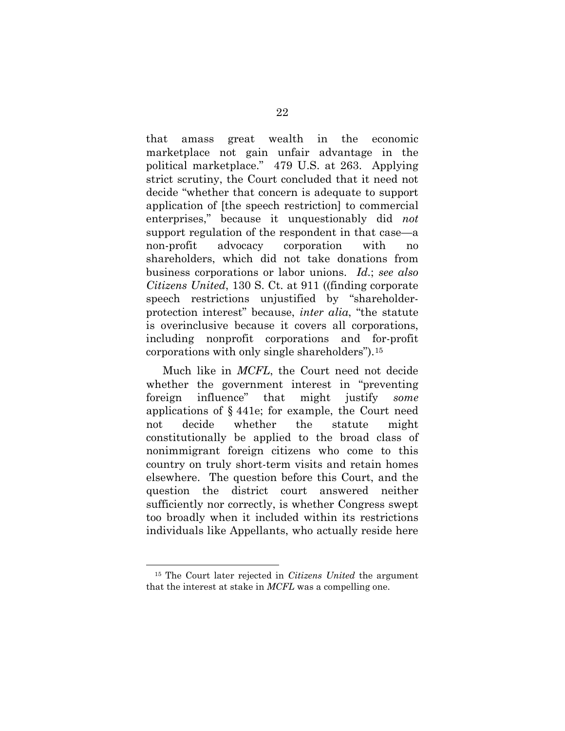that amass great wealth in the economic marketplace not gain unfair advantage in the political marketplace." 479 U.S. at 263. Applying strict scrutiny, the Court concluded that it need not decide "whether that concern is adequate to support application of [the speech restriction] to commercial enterprises," because it unquestionably did *not* support regulation of the respondent in that case—a non-profit advocacy corporation with no shareholders, which did not take donations from business corporations or labor unions. *Id.*; *see also Citizens United*, 130 S. Ct. at 911 ((finding corporate speech restrictions unjustified by "shareholderprotection interest" because, *inter alia*, "the statute is overinclusive because it covers all corporations, including nonprofit corporations and for-profit corporations with only single shareholders").[15](#page-29-0)

Much like in *MCFL*, the Court need not decide whether the government interest in "preventing foreign influence" that might justify *some* applications of § 441e; for example, the Court need not decide whether the statute might constitutionally be applied to the broad class of nonimmigrant foreign citizens who come to this country on truly short-term visits and retain homes elsewhere. The question before this Court, and the question the district court answered neither sufficiently nor correctly, is whether Congress swept too broadly when it included within its restrictions individuals like Appellants, who actually reside here

<span id="page-29-0"></span> <sup>15</sup> The Court later rejected in *Citizens United* the argument that the interest at stake in *MCFL* was a compelling one.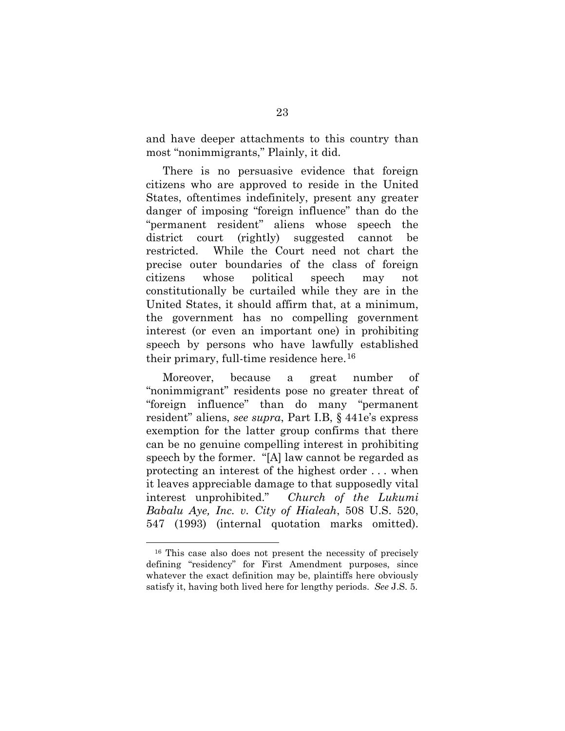and have deeper attachments to this country than most "nonimmigrants," Plainly, it did.

There is no persuasive evidence that foreign citizens who are approved to reside in the United States, oftentimes indefinitely, present any greater danger of imposing "foreign influence" than do the "permanent resident" aliens whose speech the district court (rightly) suggested cannot be restricted. While the Court need not chart the precise outer boundaries of the class of foreign citizens whose political speech may not constitutionally be curtailed while they are in the United States, it should affirm that, at a minimum, the government has no compelling government interest (or even an important one) in prohibiting speech by persons who have lawfully established their primary, full-time residence here.[16](#page-30-0)

Moreover, because a great number of "nonimmigrant" residents pose no greater threat of "foreign influence" than do many "permanent resident" aliens, *see supra*, Part I.B, § 441e's express exemption for the latter group confirms that there can be no genuine compelling interest in prohibiting speech by the former. "[A] law cannot be regarded as protecting an interest of the highest order . . . when it leaves appreciable damage to that supposedly vital interest unprohibited." *Church of the Lukumi Babalu Aye, Inc. v. City of Hialeah*, 508 U.S. 520, 547 (1993) (internal quotation marks omitted).

<span id="page-30-0"></span> <sup>16</sup> This case also does not present the necessity of precisely defining "residency" for First Amendment purposes, since whatever the exact definition may be, plaintiffs here obviously satisfy it, having both lived here for lengthy periods. *See* J.S. 5.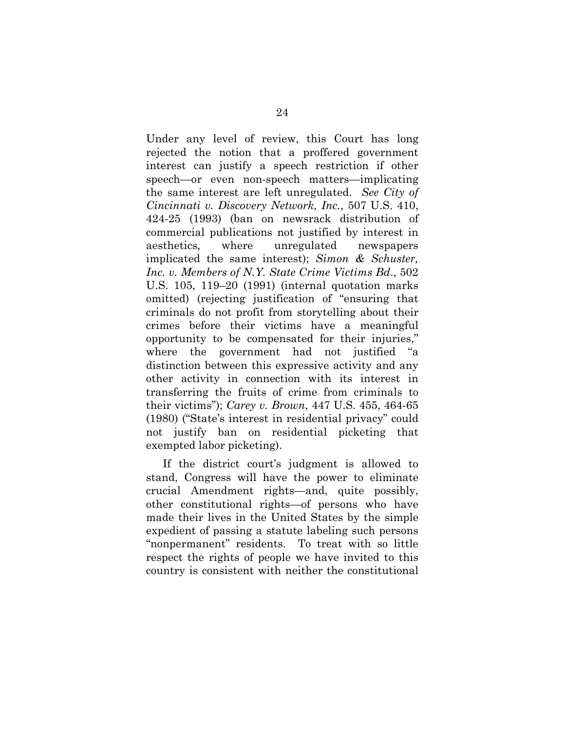Under any level of review, this Court has long rejected the notion that a proffered government interest can justify a speech restriction if other speech—or even non-speech matters—implicating the same interest are left unregulated. *See City of Cincinnati v. Discovery Network, Inc.*, 507 U.S. 410, 424-25 (1993) (ban on newsrack distribution of commercial publications not justified by interest in aesthetics, where unregulated newspapers implicated the same interest); *Simon & Schuster, Inc. v. Members of N.Y. State Crime Victims Bd*., 502 U.S. 105, 119–20 (1991) (internal quotation marks omitted) (rejecting justification of "ensuring that criminals do not profit from storytelling about their crimes before their victims have a meaningful opportunity to be compensated for their injuries," where the government had not justified "a distinction between this expressive activity and any other activity in connection with its interest in transferring the fruits of crime from criminals to their victims"); *Carey v. Brown*, 447 U.S. 455, 464-65 (1980) ("State's interest in residential privacy" could not justify ban on residential picketing that exempted labor picketing).

If the district court's judgment is allowed to stand, Congress will have the power to eliminate crucial Amendment rights—and, quite possibly, other constitutional rights—of persons who have made their lives in the United States by the simple expedient of passing a statute labeling such persons "nonpermanent" residents. To treat with so little respect the rights of people we have invited to this country is consistent with neither the constitutional